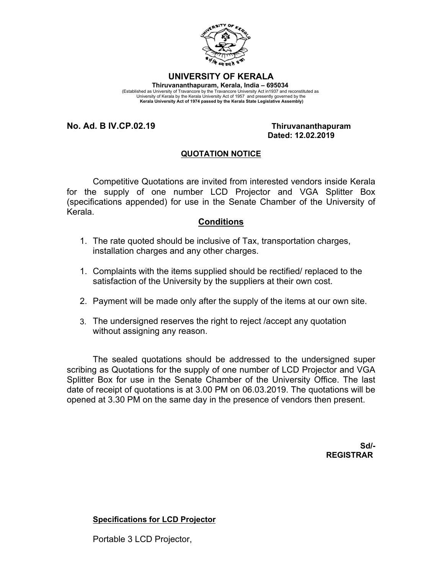

#### **UNIVERSITY OF KERALA**

**Thiruvananthapuram, Kerala, India – 695034**  (Established as University of Travancore by the Travancore University Act in1937 and reconstituted as University of Kerala by the Kerala University Act of 1957 and presently governed by the  **Kerala University Act of 1974 passed by the Kerala State Legislative Assembly)**

**No. Ad. B IV.CP.02.19 Thiruvananthapuram**

# **Dated: 12.02.2019**

### **QUOTATION NOTICE**

Competitive Quotations are invited from interested vendors inside Kerala for the supply of one number LCD Projector and VGA Splitter Box (specifications appended) for use in the Senate Chamber of the University of Kerala.

#### **Conditions**

- 1. The rate quoted should be inclusive of Tax, transportation charges, installation charges and any other charges.
- 1. Complaints with the items supplied should be rectified/ replaced to the satisfaction of the University by the suppliers at their own cost.
- 2. Payment will be made only after the supply of the items at our own site.
- 3. The undersigned reserves the right to reject /accept any quotation without assigning any reason.

The sealed quotations should be addressed to the undersigned super scribing as Quotations for the supply of one number of LCD Projector and VGA Splitter Box for use in the Senate Chamber of the University Office. The last date of receipt of quotations is at 3.00 PM on 06.03.2019. The quotations will be opened at 3.30 PM on the same day in the presence of vendors then present.

> **Sd/- REGISTRAR**

**Specifications for LCD Projector**

Portable 3 LCD Projector,